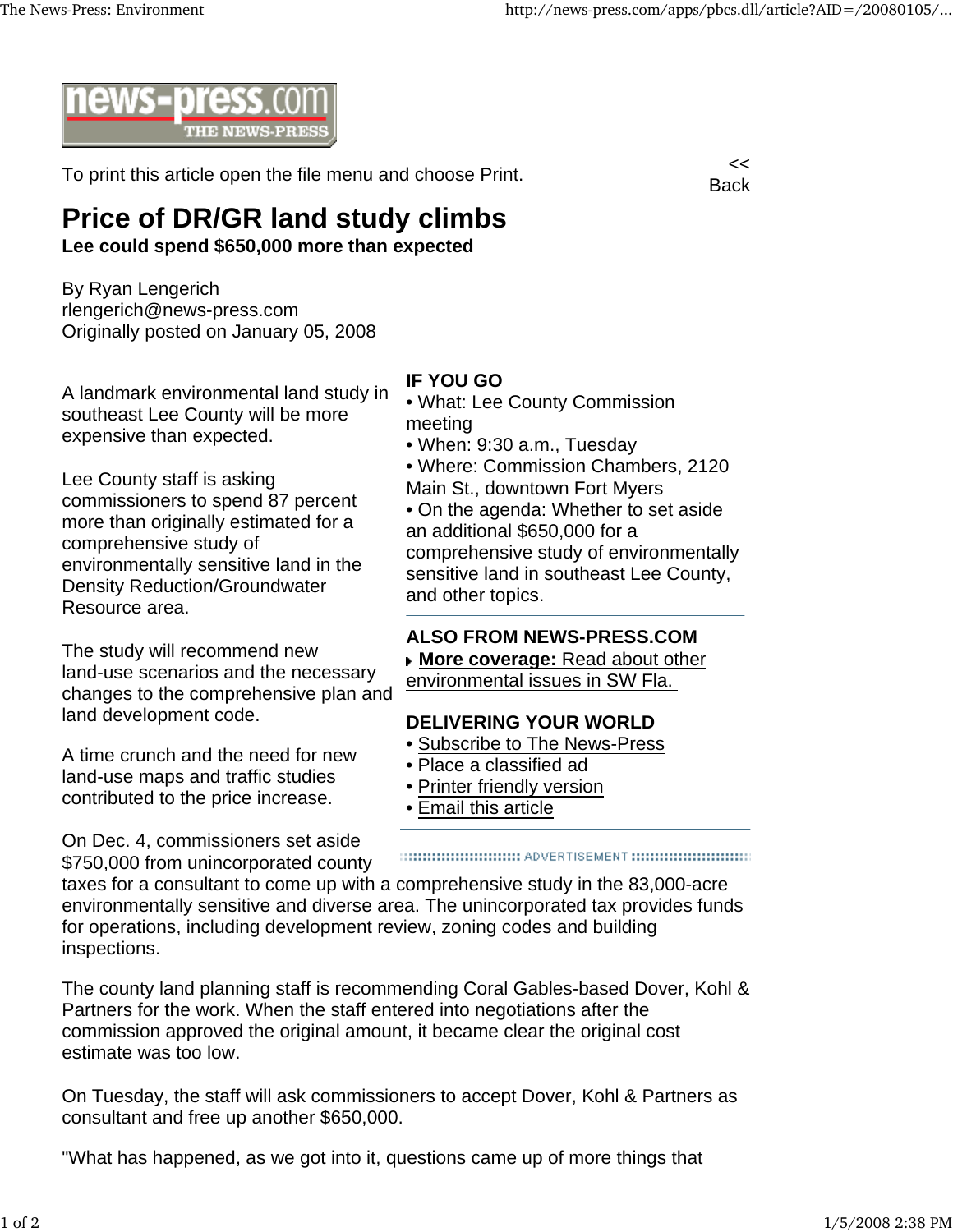

To print this article open the file menu and choose Print.



## **Price of DR/GR land study climbs**

**Lee could spend \$650,000 more than expected**

By Ryan Lengerich rlengerich@news-press.com Originally posted on January 05, 2008

A landmark environmental land study in southeast Lee County will be more expensive than expected.

Lee County staff is asking commissioners to spend 87 percent more than originally estimated for a comprehensive study of environmentally sensitive land in the Density Reduction/Groundwater Resource area.

The study will recommend new land-use scenarios and the necessary changes to the comprehensive plan and land development code.

A time crunch and the need for new land-use maps and traffic studies contributed to the price increase.

On Dec. 4, commissioners set aside \$750,000 from unincorporated county

## **IF YOU GO**

- What: Lee County Commission meeting
- When: 9:30 a.m., Tuesday
- Where: Commission Chambers, 2120
- Main St., downtown Fort Myers

• On the agenda: Whether to set aside an additional \$650,000 for a comprehensive study of environmentally sensitive land in southeast Lee County, and other topics.

## **ALSO FROM NEWS-PRESS.COM**

**More coverage:** Read about other environmental issues in SW Fla.

## **DELIVERING YOUR WORLD**

- Subscribe to The News-Press
- Place a classified ad
- Printer friendly version
- Email this article

taxes for a consultant to come up with a comprehensive study in the 83,000-acre environmentally sensitive and diverse area. The unincorporated tax provides funds for operations, including development review, zoning codes and building inspections.

The county land planning staff is recommending Coral Gables-based Dover, Kohl & Partners for the work. When the staff entered into negotiations after the commission approved the original amount, it became clear the original cost estimate was too low.

On Tuesday, the staff will ask commissioners to accept Dover, Kohl & Partners as consultant and free up another \$650,000.

"What has happened, as we got into it, questions came up of more things that